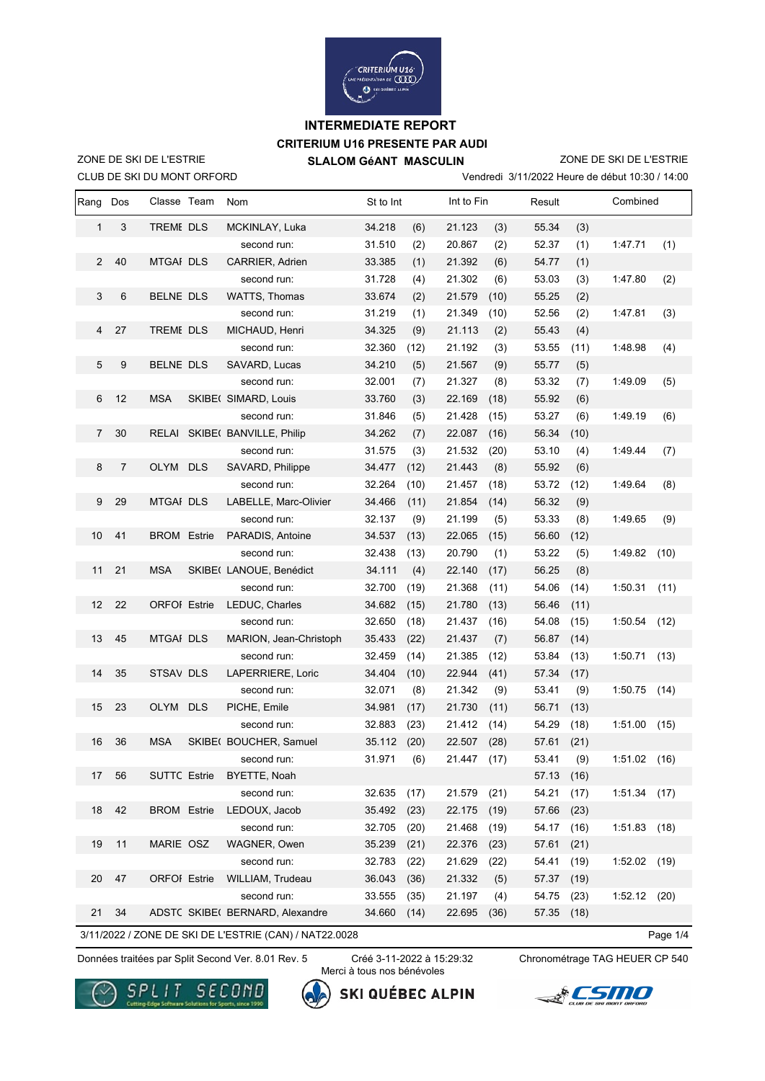

# **CRITERIUM U16 PRESENTE PAR AUDI INTERMEDIATE REPORT**

CLUB DE SKI DU MONT ORFORD ZONE DE SKI DE L'ESTRIE

 $\mathbf{r}$ 

 **SLALOM GéANT MASCULIN**

Vendredi 3/11/2022 Heure de début 10:30 / 14:00 ZONE DE SKI DE L'ESTRIE

| Rang           | Dos              | Classe Team         | Nom                             | St to Int |      |        | Int to Fin |            | Result |                | Combined |  |
|----------------|------------------|---------------------|---------------------------------|-----------|------|--------|------------|------------|--------|----------------|----------|--|
| $\mathbf{1}$   | 3                | <b>TREME DLS</b>    | MCKINLAY, Luka                  | 34.218    | (6)  | 21.123 | (3)        | 55.34      | (3)    |                |          |  |
|                |                  |                     | second run:                     | 31.510    | (2)  | 20.867 | (2)        | 52.37      | (1)    | 1:47.71        | (1)      |  |
| $\overline{2}$ | 40               | <b>MTGAI DLS</b>    | CARRIER, Adrien                 | 33.385    | (1)  | 21.392 | (6)        | 54.77      | (1)    |                |          |  |
|                |                  |                     | second run:                     | 31.728    | (4)  | 21.302 | (6)        | 53.03      | (3)    | 1:47.80        | (2)      |  |
| 3              | 6                | BELNE DLS           | <b>WATTS, Thomas</b>            | 33.674    | (2)  | 21.579 | (10)       | 55.25      | (2)    |                |          |  |
|                |                  |                     | second run:                     | 31.219    | (1)  | 21.349 | (10)       | 52.56      | (2)    | 1:47.81        | (3)      |  |
| 4              | 27               | TREME DLS           | MICHAUD, Henri                  | 34.325    | (9)  | 21.113 | (2)        | 55.43      | (4)    |                |          |  |
|                |                  |                     | second run:                     | 32.360    | (12) | 21.192 | (3)        | 53.55      | (11)   | 1:48.98        | (4)      |  |
| 5              | 9                | <b>BELNE DLS</b>    | SAVARD, Lucas                   | 34.210    | (5)  | 21.567 | (9)        | 55.77      | (5)    |                |          |  |
|                |                  |                     | second run:                     | 32.001    | (7)  | 21.327 | (8)        | 53.32      | (7)    | 1:49.09        | (5)      |  |
| 6              | 12               | <b>MSA</b>          | SKIBE( SIMARD, Louis            | 33.760    | (3)  | 22.169 | (18)       | 55.92      | (6)    |                |          |  |
|                |                  |                     | second run:                     | 31.846    | (5)  | 21.428 | (15)       | 53.27      | (6)    | 1:49.19        | (6)      |  |
| $\overline{7}$ | 30               |                     | RELAI SKIBE( BANVILLE, Philip   | 34.262    | (7)  | 22.087 | (16)       | 56.34      | (10)   |                |          |  |
|                |                  |                     | second run:                     | 31.575    | (3)  | 21.532 | (20)       | 53.10      | (4)    | 1:49.44        | (7)      |  |
| 8              | $\boldsymbol{7}$ | OLYM DLS            | SAVARD, Philippe                | 34.477    | (12) | 21.443 | (8)        | 55.92      | (6)    |                |          |  |
|                |                  |                     | second run:                     | 32.264    | (10) | 21.457 | (18)       | 53.72      | (12)   | 1:49.64        | (8)      |  |
| 9              | 29               | <b>MTGAI DLS</b>    | LABELLE, Marc-Olivier           | 34.466    | (11) | 21.854 | (14)       | 56.32      | (9)    |                |          |  |
|                |                  |                     | second run:                     | 32.137    | (9)  | 21.199 | (5)        | 53.33      | (8)    | 1:49.65        | (9)      |  |
| 10             | 41               | <b>BROM</b> Estrie  | PARADIS, Antoine                | 34.537    | (13) | 22.065 | (15)       | 56.60      | (12)   |                |          |  |
|                |                  |                     | second run:                     | 32.438    | (13) | 20.790 | (1)        | 53.22      | (5)    | 1:49.82        | (10)     |  |
| 11             | 21               | <b>MSA</b>          | SKIBE( LANOUE, Benédict         | 34.111    | (4)  | 22.140 | (17)       | 56.25      | (8)    |                |          |  |
|                |                  |                     | second run:                     | 32.700    | (19) | 21.368 | (11)       | 54.06      | (14)   | 1:50.31        | (11)     |  |
| 12             | 22               | <b>ORFOI</b> Estrie | LEDUC, Charles                  | 34.682    | (15) | 21.780 | (13)       | 56.46      | (11)   |                |          |  |
|                |                  |                     | second run:                     | 32.650    | (18) | 21.437 | (16)       | 54.08      | (15)   | 1:50.54        | (12)     |  |
| 13             | 45               | <b>MTGAI DLS</b>    | MARION, Jean-Christoph          | 35.433    | (22) | 21.437 | (7)        | 56.87      | (14)   |                |          |  |
|                |                  |                     | second run:                     | 32.459    | (14) | 21.385 | (12)       | 53.84      | (13)   | 1:50.71        | (13)     |  |
| 14             | 35               | STSAV DLS           | LAPERRIERE, Loric               | 34.404    | (10) | 22.944 | (41)       | 57.34      | (17)   |                |          |  |
|                |                  |                     | second run:                     | 32.071    | (8)  | 21.342 | (9)        | 53.41      | (9)    | 1:50.75        | (14)     |  |
| 15             | 23               | OLYM DLS            | PICHE, Emile                    | 34.981    | (17) | 21.730 | (11)       | 56.71      | (13)   |                |          |  |
|                |                  |                     | second run:                     | 32.883    | (23) | 21.412 | (14)       | 54.29      | (18)   | 1:51.00        | (15)     |  |
| 16             | 36               | <b>MSA</b>          | SKIBE( BOUCHER, Samuel          | 35.112    | (20) | 22.507 | (28)       | 57.61      | (21)   |                |          |  |
|                |                  |                     | second run:                     | 31.971    | (6)  | 21.447 | (17)       | 53.41      | (9)    | 1:51.02        | (16)     |  |
| 17             | 56               | <b>SUTTC Estrie</b> | BYETTE, Noah                    |           |      |        |            | 57.13 (16) |        |                |          |  |
|                |                  |                     | second run:                     | 32.635    | (17) | 21.579 | (21)       | 54.21      | (17)   | 1:51.34        | (17)     |  |
| 18             | 42               | <b>BROM</b> Estrie  | LEDOUX, Jacob                   | 35.492    | (23) | 22.175 | (19)       | 57.66      | (23)   |                |          |  |
|                |                  |                     | second run:                     | 32.705    | (20) | 21.468 | (19)       | 54.17      | (16)   | 1:51.83        | (18)     |  |
| 19             | 11               | MARIE OSZ           | WAGNER, Owen                    | 35.239    | (21) | 22.376 | (23)       | 57.61      | (21)   |                |          |  |
|                |                  |                     | second run:                     | 32.783    | (22) | 21.629 | (22)       | 54.41      | (19)   | 1:52.02        | (19)     |  |
| 20             | 47               | <b>ORFOI</b> Estrie | WILLIAM, Trudeau                | 36.043    | (36) | 21.332 | (5)        | 57.37      | (19)   |                |          |  |
|                |                  |                     | second run:                     | 33.555    | (35) | 21.197 | (4)        | 54.75      | (23)   | $1:52.12$ (20) |          |  |
| 21             | 34               |                     | ADSTC SKIBE( BERNARD, Alexandre | 34.660    | (14) | 22.695 | (36)       | 57.35      | (18)   |                |          |  |

3/11/2022 / ZONE DE SKI DE L'ESTRIE (CAN) / NAT22.0028

Page 1/4

Données traitées par Split Second Ver. 8.01 Rev. 5 Créé 3-11-2022 à 15:29:32 Chronométrage TAG HEUER CP 540

Créé 3-11-2022 à 15:29:32 Merci à tous nos bénévoles

**SKI QUÉBEC ALPIN** 

**ACSMO** 



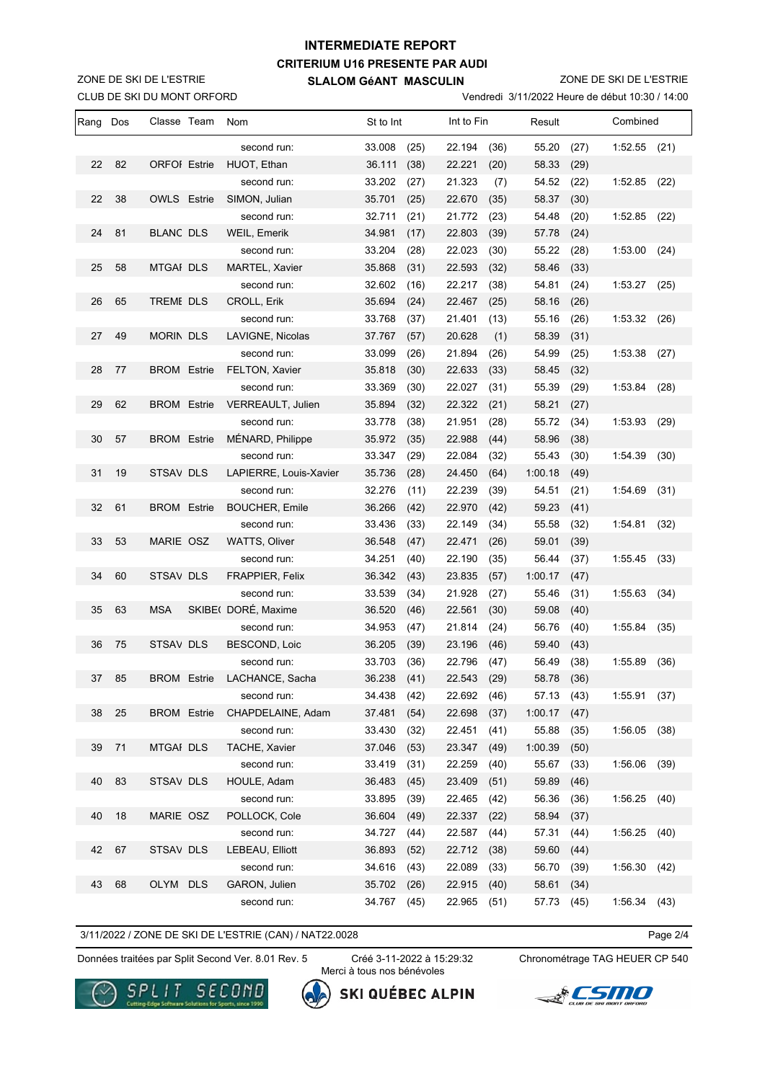## **CRITERIUM U16 PRESENTE PAR AUDI SLALOM GéANT MASCULIN INTERMEDIATE REPORT**

CLUB DE SKI DU MONT ORFORD ZONE DE SKI DE L'ESTRIE

ZONE DE SKI DE L'ESTRIE

Vendredi 3/11/2022 Heure de début 10:30 / 14:00

| Rang | Dos | Classe Team         | Nom                         | St to Int   | Int to Fin |             |      | Result     |      | Combined       |      |
|------|-----|---------------------|-----------------------------|-------------|------------|-------------|------|------------|------|----------------|------|
|      |     |                     | second run:                 | 33.008      | (25)       | 22.194      | (36) | 55.20      | (27) | $1:52.55$ (21) |      |
| 22   | 82  | <b>ORFOI</b> Estrie | HUOT, Ethan                 | 36.111      | (38)       | 22.221      | (20) | 58.33      | (29) |                |      |
|      |     |                     | second run:                 | 33.202      | (27)       | 21.323      | (7)  | 54.52      | (22) | 1:52.85        | (22) |
| 22   | 38  | <b>OWLS Estrie</b>  | SIMON, Julian               | 35.701      | (25)       | 22.670      | (35) | 58.37      | (30) |                |      |
|      |     |                     | second run:                 | 32.711      | (21)       | 21.772      | (23) | 54.48      | (20) | 1:52.85        | (22) |
| 24   | 81  | <b>BLANC DLS</b>    | WEIL, Emerik                | 34.981      | (17)       | 22.803      | (39) | 57.78      | (24) |                |      |
|      |     |                     | second run:                 | 33.204      | (28)       | 22.023      | (30) | 55.22      | (28) | 1:53.00        | (24) |
| 25   | 58  | <b>MTGAI DLS</b>    | MARTEL, Xavier              | 35.868      | (31)       | 22.593      | (32) | 58.46      | (33) |                |      |
|      |     |                     | second run:                 | 32.602      | (16)       | 22.217      | (38) | 54.81      | (24) | 1:53.27        | (25) |
| 26   | 65  | <b>TREME DLS</b>    | CROLL, Erik                 | 35.694      | (24)       | 22.467      | (25) | 58.16      | (26) |                |      |
|      |     |                     | second run:                 | 33.768      | (37)       | 21.401      | (13) | 55.16      | (26) | 1:53.32        | (26) |
| 27   | 49  | <b>MORIN DLS</b>    | LAVIGNE, Nicolas            | 37.767      | (57)       | 20.628      | (1)  | 58.39      | (31) |                |      |
|      |     |                     | second run:                 | 33.099      | (26)       | 21.894      | (26) | 54.99      | (25) | 1:53.38        | (27) |
| 28   | 77  | <b>BROM</b> Estrie  | <b>FELTON, Xavier</b>       | 35.818      | (30)       | 22.633      | (33) | 58.45      | (32) |                |      |
|      |     |                     | second run:                 | 33.369      | (30)       | 22.027      | (31) | 55.39      | (29) | 1:53.84        | (28) |
| 29   | 62  | <b>BROM</b> Estrie  | VERREAULT, Julien           | 35.894      | (32)       | 22.322      | (21) | 58.21      | (27) |                |      |
|      |     |                     | second run:                 | 33.778      | (38)       | 21.951      | (28) | 55.72      | (34) | 1:53.93        | (29) |
| 30   | 57  | <b>BROM</b> Estrie  | MÉNARD, Philippe            | 35.972      | (35)       | 22.988      | (44) | 58.96      | (38) |                |      |
|      |     |                     | second run:                 | 33.347      | (29)       | 22.084      | (32) | 55.43      | (30) | 1:54.39        | (30) |
| 31   | 19  | <b>STSAV DLS</b>    | LAPIERRE, Louis-Xavier      | 35.736      | (28)       | 24.450      | (64) | 1:00.18    | (49) |                |      |
|      |     |                     | second run:                 | 32.276      | (11)       | 22.239      | (39) | 54.51      | (21) | 1:54.69        | (31) |
| 32   | 61  | <b>BROM Estrie</b>  | <b>BOUCHER, Emile</b>       | 36.266      | (42)       | 22.970      | (42) | 59.23      | (41) |                |      |
|      |     |                     | second run:                 | 33.436      | (33)       | 22.149      | (34) | 55.58      | (32) | 1:54.81        | (32) |
| 33   | 53  | MARIE OSZ           | <b>WATTS, Oliver</b>        | 36.548      | (47)       | 22.471      | (26) | 59.01      | (39) |                |      |
|      |     |                     | second run:                 | 34.251      | (40)       | 22.190      | (35) | 56.44      | (37) | 1:55.45        | (33) |
| 34   | 60  | <b>STSAV DLS</b>    | FRAPPIER, Felix             | 36.342      | (43)       | 23.835      | (57) | 1:00.17    | (47) |                |      |
|      |     |                     | second run:                 | 33.539      | (34)       | 21.928      | (27) | 55.46      | (31) | 1:55.63        | (34) |
| 35   | 63  | <b>MSA</b>          | SKIBE(DORÉ, Maxime          | 36.520      | (46)       | 22.561      | (30) | 59.08      | (40) |                |      |
|      |     |                     | second run:                 | 34.953      | (47)       | 21.814      | (24) | 56.76      | (40) | 1:55.84        | (35) |
| 36   | 75  | <b>STSAV DLS</b>    | BESCOND, Loic               | 36.205      | (39)       | 23.196      | (46) | 59.40      | (43) |                |      |
|      |     |                     | second run:                 | 33.703      | (36)       | 22.796      | (47) | 56.49      | (38) | 1:55.89        | (36) |
| 37   | 85  |                     | BROM Estrie LACHANCE, Sacha | 36.238 (41) |            | 22.543 (29) |      | 58.78 (36) |      |                |      |
|      |     |                     | second run:                 | 34.438      | (42)       | 22.692      | (46) | 57.13      | (43) | 1:55.91        | (37) |
| 38   | 25  | <b>BROM</b> Estrie  | CHAPDELAINE, Adam           | 37.481      | (54)       | 22.698      | (37) | 1:00.17    | (47) |                |      |
|      |     |                     | second run:                 | 33.430      | (32)       | 22.451      | (41) | 55.88      | (35) | 1:56.05        | (38) |
| 39   | 71  | <b>MTGAI DLS</b>    | <b>TACHE, Xavier</b>        | 37.046      | (53)       | 23.347      | (49) | 1:00.39    | (50) |                |      |
|      |     |                     | second run:                 | 33.419      | (31)       | 22.259      | (40) | 55.67      | (33) | 1:56.06        | (39) |
| 40   | 83  | STSAV DLS           | HOULE, Adam                 | 36.483      | (45)       | 23.409      | (51) | 59.89      | (46) |                |      |
|      |     |                     | second run:                 | 33.895      | (39)       | 22.465      | (42) | 56.36      | (36) | 1:56.25        | (40) |
| 40   | 18  | MARIE OSZ           | POLLOCK, Cole               | 36.604      | (49)       | 22.337      | (22) | 58.94      | (37) |                |      |
|      |     |                     | second run:                 | 34.727      | (44)       | 22.587      | (44) | 57.31      | (44) | 1:56.25        | (40) |
| 42   | 67  | STSAV DLS           | LEBEAU, Elliott             | 36.893      | (52)       | 22.712      | (38) | 59.60      | (44) |                |      |
|      |     |                     | second run:                 | 34.616      | (43)       | 22.089      | (33) | 56.70      | (39) | 1:56.30        | (42) |
| 43   | 68  | OLYM DLS            | GARON, Julien               | 35.702      | (26)       | 22.915      | (40) | 58.61      | (34) |                |      |
|      |     |                     | second run:                 | 34.767      | (45)       | 22.965      | (51) | 57.73      | (45) | 1:56.34        | (43) |

3/11/2022 / ZONE DE SKI DE L'ESTRIE (CAN) / NAT22.0028

Page 2/4

Données traitées par Split Second Ver. 8.01 Rev. 5 Créé 3-11-2022 à 15:29:32 Chronométrage TAG HEUER CP 540

Créé 3-11-2022 à 15:29:32 Merci à tous nos bénévoles

**SKI QUÉBEC ALPIN** 





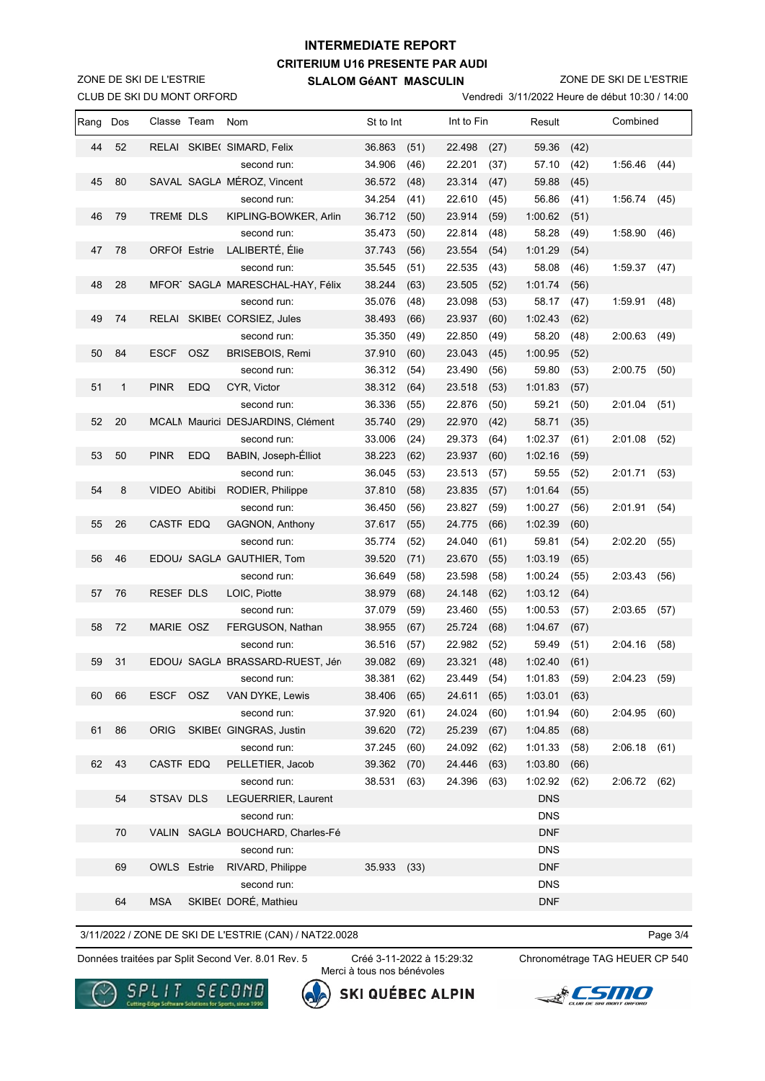## **CRITERIUM U16 PRESENTE PAR AUDI SLALOM GéANT MASCULIN INTERMEDIATE REPORT**

CLUB DE SKI DU MONT ORFORD ZONE DE SKI DE L'ESTRIE

ZONE DE SKI DE L'ESTRIE

Vendredi 3/11/2022 Heure de début 10:30 / 14:00

| <u>ULUD DL UN DU MUNT UNI UND</u><br><b>verigied is a real of the device the use of the co</b> |              |                     |            |                                   |           |      |            |      |            |          |         |      |
|------------------------------------------------------------------------------------------------|--------------|---------------------|------------|-----------------------------------|-----------|------|------------|------|------------|----------|---------|------|
| Rang                                                                                           | Dos          | Classe Team         |            | Nom                               | St to Int |      | Int to Fin |      | Result     | Combined |         |      |
| 44                                                                                             | 52           |                     |            | RELAI SKIBE( SIMARD, Felix        | 36.863    | (51) | 22.498     | (27) | 59.36      | (42)     |         |      |
|                                                                                                |              |                     |            | second run:                       | 34.906    | (46) | 22.201     | (37) | 57.10      | (42)     | 1:56.46 | (44) |
| 45                                                                                             | 80           |                     |            | SAVAL SAGLA MÉROZ, Vincent        | 36.572    | (48) | 23.314     | (47) | 59.88      | (45)     |         |      |
|                                                                                                |              |                     |            | second run:                       | 34.254    | (41) | 22.610     | (45) | 56.86      | (41)     | 1:56.74 | (45) |
| 46                                                                                             | 79           | <b>TREME DLS</b>    |            | KIPLING-BOWKER, Arlin             | 36.712    | (50) | 23.914     | (59) | 1:00.62    | (51)     |         |      |
|                                                                                                |              |                     |            | second run:                       | 35.473    | (50) | 22.814     | (48) | 58.28      | (49)     | 1:58.90 | (46) |
| 47                                                                                             | 78           | <b>ORFOI</b> Estrie |            | LALIBERTÉ, Élie                   | 37.743    | (56) | 23.554     | (54) | 1:01.29    | (54)     |         |      |
|                                                                                                |              |                     |            | second run:                       | 35.545    | (51) | 22.535     | (43) | 58.08      | (46)     | 1:59.37 | (47) |
| 48                                                                                             | 28           |                     |            | MFOR SAGLA MARESCHAL-HAY, Félix   | 38.244    | (63) | 23.505     | (52) | 1:01.74    | (56)     |         |      |
|                                                                                                |              |                     |            | second run:                       | 35.076    | (48) | 23.098     | (53) | 58.17      | (47)     | 1:59.91 | (48) |
| 49                                                                                             | 74           |                     |            | RELAI SKIBE( CORSIEZ, Jules       | 38.493    | (66) | 23.937     | (60) | 1:02.43    | (62)     |         |      |
|                                                                                                |              |                     |            | second run:                       | 35.350    | (49) | 22.850     | (49) | 58.20      | (48)     | 2:00.63 | (49) |
| 50                                                                                             | 84           | <b>ESCF</b>         | <b>OSZ</b> | <b>BRISEBOIS, Remi</b>            | 37.910    | (60) | 23.043     | (45) | 1:00.95    | (52)     |         |      |
|                                                                                                |              |                     |            | second run:                       | 36.312    | (54) | 23.490     | (56) | 59.80      | (53)     | 2:00.75 | (50) |
| 51                                                                                             | $\mathbf{1}$ | <b>PINR</b>         | <b>EDQ</b> | CYR, Victor                       | 38.312    | (64) | 23.518     | (53) | 1:01.83    | (57)     |         |      |
|                                                                                                |              |                     |            | second run:                       | 36.336    | (55) | 22.876     | (50) | 59.21      | (50)     | 2:01.04 | (51) |
| 52                                                                                             | 20           |                     |            | MCALI Maurici DESJARDINS, Clément | 35.740    | (29) | 22.970     | (42) | 58.71      | (35)     |         |      |
|                                                                                                |              |                     |            | second run:                       | 33.006    | (24) | 29.373     | (64) | 1:02.37    | (61)     | 2:01.08 | (52) |
| 53                                                                                             | 50           | <b>PINR</b>         | <b>EDQ</b> | BABIN, Joseph-Elliot              | 38.223    | (62) | 23.937     | (60) | 1:02.16    | (59)     |         |      |
|                                                                                                |              |                     |            | second run:                       | 36.045    | (53) | 23.513     | (57) | 59.55      | (52)     | 2:01.71 | (53) |
| 54                                                                                             | 8            | VIDEO Abitibi       |            | RODIER, Philippe                  | 37.810    | (58) | 23.835     | (57) | 1:01.64    | (55)     |         |      |
|                                                                                                |              |                     |            | second run:                       | 36.450    | (56) | 23.827     | (59) | 1:00.27    | (56)     | 2:01.91 | (54) |
| 55                                                                                             | 26           | CASTF EDQ           |            | GAGNON, Anthony                   | 37.617    | (55) | 24.775     | (66) | 1:02.39    | (60)     |         |      |
|                                                                                                |              |                     |            | second run:                       | 35.774    | (52) | 24.040     | (61) | 59.81      | (54)     | 2:02.20 | (55) |
| 56                                                                                             | 46           |                     |            | EDOU/ SAGLA GAUTHIER, Tom         | 39.520    | (71) | 23.670     | (55) | 1:03.19    | (65)     |         |      |
|                                                                                                |              |                     |            | second run:                       | 36.649    | (58) | 23.598     | (58) | 1:00.24    | (55)     | 2:03.43 | (56) |
| 57                                                                                             | 76           | <b>RESEF DLS</b>    |            | LOIC, Piotte                      | 38.979    | (68) | 24.148     | (62) | 1:03.12    | (64)     |         |      |
|                                                                                                |              |                     |            | second run:                       | 37.079    | (59) | 23.460     | (55) | 1:00.53    | (57)     | 2:03.65 | (57) |
| 58                                                                                             | 72           | MARIE OSZ           |            | FERGUSON, Nathan                  | 38.955    | (67) | 25.724     | (68) | 1:04.67    | (67)     |         |      |
|                                                                                                |              |                     |            | second run:                       | 36.516    | (57) | 22.982     | (52) | 59.49      | (51)     | 2:04.16 | (58) |
| 59                                                                                             | 31           |                     |            | EDOU/ SAGLA BRASSARD-RUEST, Jér   | 39.082    | (69) | 23.321     | (48) | 1:02.40    | (61)     |         |      |
|                                                                                                |              |                     |            | second run:                       | 38.381    | (62) | 23.449     | (54) | 1:01.83    | (59)     | 2:04.23 | (59) |
| 60                                                                                             | 66           | <b>ESCF</b>         | <b>OSZ</b> | VAN DYKE, Lewis                   | 38.406    | (65) | 24.611     | (65) | 1:03.01    | (63)     |         |      |
|                                                                                                |              |                     |            | second run:                       | 37.920    | (61) | 24.024     | (60) | 1:01.94    | (60)     | 2:04.95 | (60) |
| 61                                                                                             | 86           | <b>ORIG</b>         |            | SKIBE( GINGRAS, Justin            | 39.620    | (72) | 25.239     | (67) | 1:04.85    | (68)     |         |      |
|                                                                                                |              |                     |            | second run:                       | 37.245    | (60) | 24.092     | (62) | 1:01.33    | (58)     | 2:06.18 | (61) |
| 62                                                                                             | 43           | CASTF EDQ           |            | PELLETIER, Jacob                  | 39.362    | (70) | 24.446     | (63) | 1:03.80    | (66)     |         |      |
|                                                                                                |              |                     |            | second run:                       | 38.531    | (63) | 24.396     | (63) | 1:02.92    | (62)     | 2:06.72 | (62) |
|                                                                                                | 54           | STSAV DLS           |            | LEGUERRIER, Laurent               |           |      |            |      | <b>DNS</b> |          |         |      |
|                                                                                                |              |                     |            | second run:                       |           |      |            |      | <b>DNS</b> |          |         |      |
|                                                                                                | 70           |                     |            | VALIN SAGLA BOUCHARD, Charles-Fé  |           |      |            |      | <b>DNF</b> |          |         |      |
|                                                                                                |              |                     |            | second run:                       |           |      |            |      | <b>DNS</b> |          |         |      |
|                                                                                                | 69           | <b>OWLS</b> Estrie  |            | RIVARD, Philippe                  | 35.933    | (33) |            |      | <b>DNF</b> |          |         |      |
|                                                                                                |              |                     |            | second run:                       |           |      |            |      | <b>DNS</b> |          |         |      |
|                                                                                                | 64           | <b>MSA</b>          |            | SKIBE(DORÉ, Mathieu               |           |      |            |      | <b>DNF</b> |          |         |      |

3/11/2022 / ZONE DE SKI DE L'ESTRIE (CAN) / NAT22.0028

Page 3/4

Données traitées par Split Second Ver. 8.01 Rev. 5 Créé 3-11-2022 à 15:29:32 Chronométrage TAG HEUER CP 540

Créé 3-11-2022 à 15:29:32 Merci à tous nos bénévoles

**SKI QUÉBEC ALPIN**